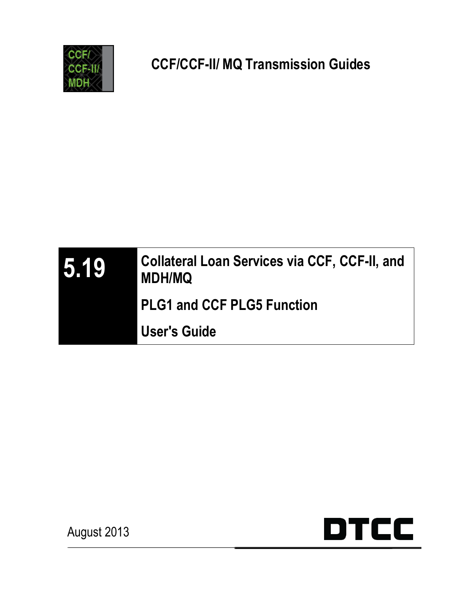





August 2013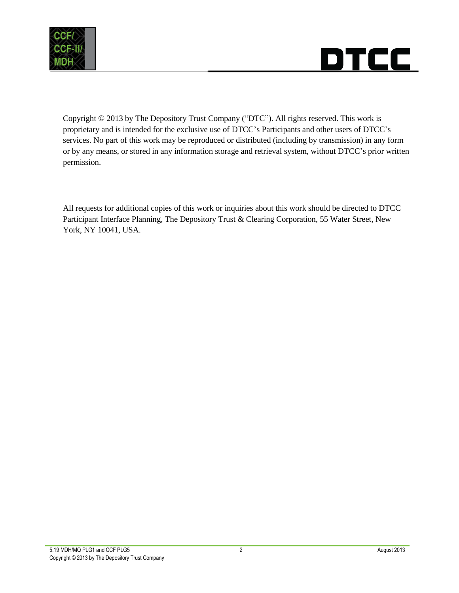



Copyright © 2013 by The Depository Trust Company ("DTC"). All rights reserved. This work is proprietary and is intended for the exclusive use of DTCC's Participants and other users of DTCC's services. No part of this work may be reproduced or distributed (including by transmission) in any form or by any means, or stored in any information storage and retrieval system, without DTCC's prior written permission.

All requests for additional copies of this work or inquiries about this work should be directed to DTCC Participant Interface Planning, The Depository Trust & Clearing Corporation, 55 Water Street, New York, NY 10041, USA.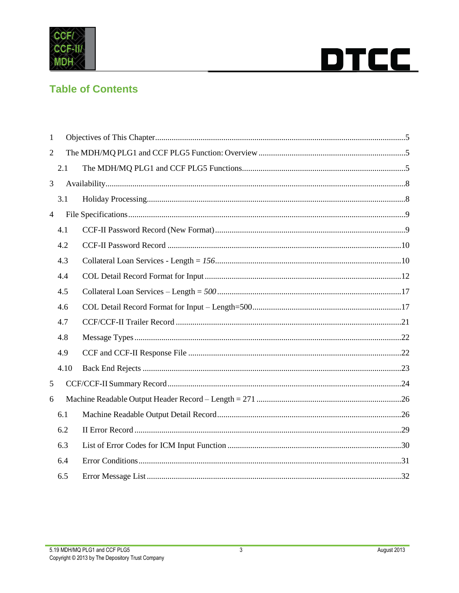



### **Table of Contents**

| $\mathbf{1}$   |      |  |  |  |  |  |  |  |  |
|----------------|------|--|--|--|--|--|--|--|--|
| $\overline{2}$ |      |  |  |  |  |  |  |  |  |
|                | 2.1  |  |  |  |  |  |  |  |  |
| 3              |      |  |  |  |  |  |  |  |  |
|                | 3.1  |  |  |  |  |  |  |  |  |
| $\overline{4}$ |      |  |  |  |  |  |  |  |  |
|                | 4.1  |  |  |  |  |  |  |  |  |
|                | 4.2  |  |  |  |  |  |  |  |  |
|                | 4.3  |  |  |  |  |  |  |  |  |
|                | 4.4  |  |  |  |  |  |  |  |  |
|                | 4.5  |  |  |  |  |  |  |  |  |
|                | 4.6  |  |  |  |  |  |  |  |  |
|                | 4.7  |  |  |  |  |  |  |  |  |
|                | 4.8  |  |  |  |  |  |  |  |  |
|                | 4.9  |  |  |  |  |  |  |  |  |
|                | 4.10 |  |  |  |  |  |  |  |  |
| 5              |      |  |  |  |  |  |  |  |  |
| 6              |      |  |  |  |  |  |  |  |  |
|                | 6.1  |  |  |  |  |  |  |  |  |
|                | 6.2  |  |  |  |  |  |  |  |  |
|                | 6.3  |  |  |  |  |  |  |  |  |
|                | 6.4  |  |  |  |  |  |  |  |  |
|                | 6.5  |  |  |  |  |  |  |  |  |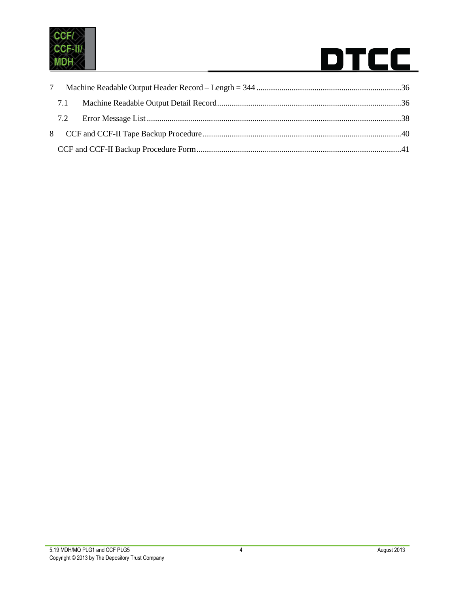

| $7\phantom{0}$ |  |  |  |  |  |  |
|----------------|--|--|--|--|--|--|
|                |  |  |  |  |  |  |
|                |  |  |  |  |  |  |
|                |  |  |  |  |  |  |
|                |  |  |  |  |  |  |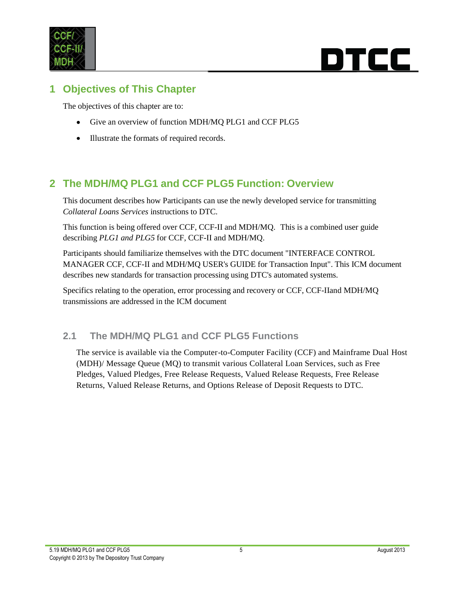

### <span id="page-4-0"></span>**1 Objectives of This Chapter**

The objectives of this chapter are to:

- Give an overview of function MDH/MQ PLG1 and CCF PLG5  $\bullet$
- Illustrate the formats of required records.  $\bullet$

### <span id="page-4-1"></span>**2 The MDH/MQ PLG1 and CCF PLG5 Function: Overview**

This document describes how Participants can use the newly developed service for transmitting *Collateral Loans Services* instructions to DTC.

This function is being offered over CCF, CCF-II and MDH/MQ. This is a combined user guide describing *PLG1 and PLG5* for CCF, CCF-II and MDH/MQ.

Participants should familiarize themselves with the DTC document "INTERFACE CONTROL MANAGER CCF, CCF-II and MDH/MQ USER's GUIDE for Transaction Input". This ICM document describes new standards for transaction processing using DTC's automated systems.

Specifics relating to the operation, error processing and recovery or CCF, CCF-IIand MDH/MQ transmissions are addressed in the ICM document

#### <span id="page-4-2"></span>**2.1 The MDH/MQ PLG1 and CCF PLG5 Functions**

The service is available via the Computer-to-Computer Facility (CCF) and Mainframe Dual Host (MDH)/ Message Queue (MQ) to transmit various Collateral Loan Services, such as Free Pledges, Valued Pledges, Free Release Requests, Valued Release Requests, Free Release Returns, Valued Release Returns, and Options Release of Deposit Requests to DTC.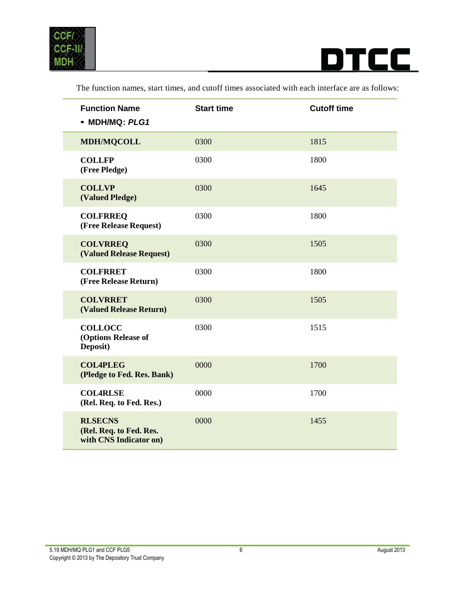

 $\overline{\phantom{a}}$ 



| <b>Function Name</b><br>• MDH/MQ: PLG1                              | <b>Start time</b> | <b>Cutoff time</b> |
|---------------------------------------------------------------------|-------------------|--------------------|
| <b>MDH/MQCOLL</b>                                                   | 0300              | 1815               |
| <b>COLLFP</b><br>(Free Pledge)                                      | 0300              | 1800               |
| <b>COLLVP</b><br>(Valued Pledge)                                    | 0300              | 1645               |
| <b>COLFRREQ</b><br>(Free Release Request)                           | 0300              | 1800               |
| <b>COLVRREQ</b><br><b>(Valued Release Request)</b>                  | 0300              | 1505               |
| <b>COLFRRET</b><br>(Free Release Return)                            | 0300              | 1800               |
| <b>COLVRRET</b><br>(Valued Release Return)                          | 0300              | 1505               |
| <b>COLLOCC</b><br>(Options Release of<br>Deposit)                   | 0300              | 1515               |
| <b>COL4PLEG</b><br>(Pledge to Fed. Res. Bank)                       | 0000              | 1700               |
| <b>COL4RLSE</b><br>(Rel. Req. to Fed. Res.)                         | 0000              | 1700               |
| <b>RLSECNS</b><br>(Rel. Req. to Fed. Res.<br>with CNS Indicator on) | 0000              | 1455               |

The function names, start times, and cutoff times associated with each interface are as follows: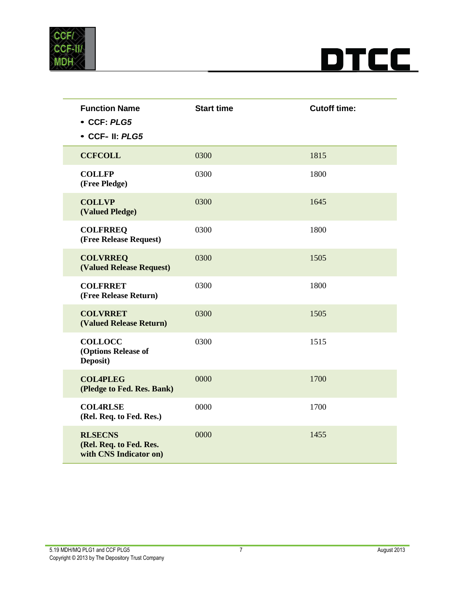



| <b>Function Name</b><br>• CCF: PLG5<br>• CCF- II: PLG5              | <b>Start time</b> | <b>Cutoff time:</b> |
|---------------------------------------------------------------------|-------------------|---------------------|
| <b>CCFCOLL</b>                                                      | 0300              | 1815                |
| <b>COLLFP</b><br>(Free Pledge)                                      | 0300              | 1800                |
| <b>COLLVP</b><br>(Valued Pledge)                                    | 0300              | 1645                |
| <b>COLFRREQ</b><br>(Free Release Request)                           | 0300              | 1800                |
| <b>COLVRREQ</b><br><b>(Valued Release Request)</b>                  | 0300              | 1505                |
| <b>COLFRRET</b><br>(Free Release Return)                            | 0300              | 1800                |
| <b>COLVRRET</b><br>(Valued Release Return)                          | 0300              | 1505                |
| <b>COLLOCC</b><br>(Options Release of<br>Deposit)                   | 0300              | 1515                |
| <b>COL4PLEG</b><br>(Pledge to Fed. Res. Bank)                       | 0000              | 1700                |
| <b>COL4RLSE</b><br>(Rel. Req. to Fed. Res.)                         | 0000              | 1700                |
| <b>RLSECNS</b><br>(Rel. Req. to Fed. Res.<br>with CNS Indicator on) | 0000              | 1455                |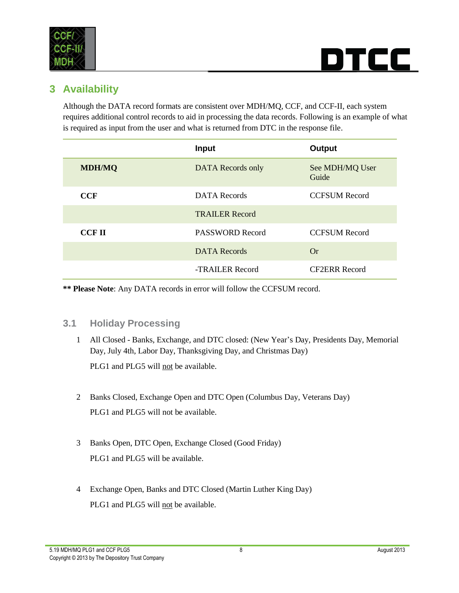



### <span id="page-7-0"></span>**3 Availability**

Although the DATA record formats are consistent over MDH/MQ, CCF, and CCF-II, each system requires additional control records to aid in processing the data records. Following is an example of what is required as input from the user and what is returned from DTC in the response file.

|               | <b>Input</b>             | Output                   |
|---------------|--------------------------|--------------------------|
| <b>MDH/MQ</b> | <b>DATA</b> Records only | See MDH/MQ User<br>Guide |
| CCF           | DATA Records             | <b>CCFSUM Record</b>     |
|               | <b>TRAILER Record</b>    |                          |
| <b>CCF II</b> | PASSWORD Record          | <b>CCFSUM Record</b>     |
|               | <b>DATA</b> Records      | Or                       |
|               | -TRAILER Record          | <b>CF2ERR Record</b>     |

**\*\* Please Note**: Any DATA records in error will follow the CCFSUM record.

#### <span id="page-7-1"></span>**3.1 Holiday Processing**

- 1 All Closed Banks, Exchange, and DTC closed: (New Year's Day, Presidents Day, Memorial Day, July 4th, Labor Day, Thanksgiving Day, and Christmas Day) PLG1 and PLG5 will not be available.
- 2 Banks Closed, Exchange Open and DTC Open (Columbus Day, Veterans Day) PLG1 and PLG5 will not be available.
- 3 Banks Open, DTC Open, Exchange Closed (Good Friday) PLG1 and PLG5 will be available.
- 4 Exchange Open, Banks and DTC Closed (Martin Luther King Day) PLG1 and PLG5 will not be available.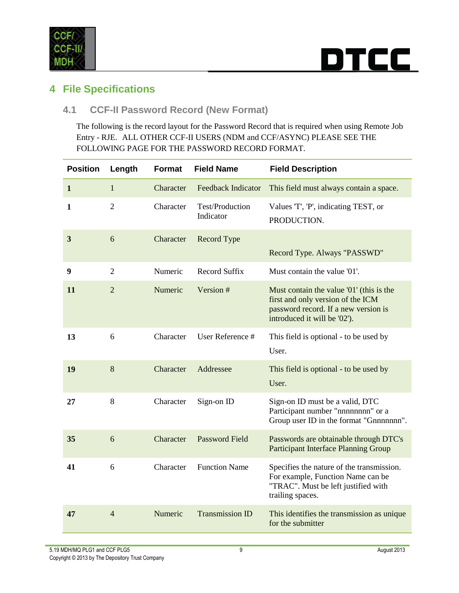

### rcc i DT

### <span id="page-8-0"></span>**4 File Specifications**

#### <span id="page-8-1"></span>**4.1 CCF-II Password Record (New Format)**

The following is the record layout for the Password Record that is required when using Remote Job Entry - RJE. ALL OTHER CCF-II USERS (NDM and CCF/ASYNC) PLEASE SEE THE FOLLOWING PAGE FOR THE PASSWORD RECORD FORMAT.

| <b>Position</b> | Length         | Format    | <b>Field Name</b>            | <b>Field Description</b>                                                                                                                              |
|-----------------|----------------|-----------|------------------------------|-------------------------------------------------------------------------------------------------------------------------------------------------------|
| 1               | $\mathbf{1}$   | Character | Feedback Indicator           | This field must always contain a space.                                                                                                               |
| 1               | $\overline{2}$ | Character | Test/Production<br>Indicator | Values T', 'P', indicating TEST, or<br>PRODUCTION.                                                                                                    |
| 3               | 6              | Character | Record Type                  | Record Type. Always "PASSWD"                                                                                                                          |
| 9               | $\overline{2}$ | Numeric   | <b>Record Suffix</b>         | Must contain the value '01'.                                                                                                                          |
| 11              | $\overline{2}$ | Numeric   | Version #                    | Must contain the value '01' (this is the<br>first and only version of the ICM<br>password record. If a new version is<br>introduced it will be '02'). |
| 13              | 6              | Character | User Reference #             | This field is optional - to be used by<br>User.                                                                                                       |
| 19              | 8              | Character | Addressee                    | This field is optional - to be used by<br>User.                                                                                                       |
| 27              | 8              | Character | Sign-on ID                   | Sign-on ID must be a valid, DTC<br>Participant number "nnnnnnnn" or a<br>Group user ID in the format "Gnnnnnnn".                                      |
| 35              | 6              | Character | <b>Password Field</b>        | Passwords are obtainable through DTC's<br><b>Participant Interface Planning Group</b>                                                                 |
| 41              | 6              | Character | <b>Function Name</b>         | Specifies the nature of the transmission.<br>For example, Function Name can be<br>"TRAC". Must be left justified with<br>trailing spaces.             |
| 47              | $\overline{4}$ | Numeric   | <b>Transmission ID</b>       | This identifies the transmission as unique<br>for the submitter                                                                                       |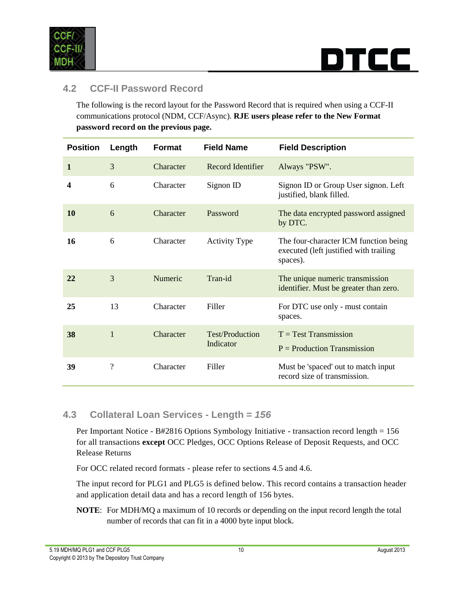

### rcc i

#### <span id="page-9-0"></span>**4.2 CCF-II Password Record**

The following is the record layout for the Password Record that is required when using a CCF-II communications protocol (NDM, CCF/Async). **RJE users please refer to the New Format password record on the previous page.**

| <b>Position</b> | Length                   | Format    | <b>Field Name</b>                   | <b>Field Description</b>                                                                    |
|-----------------|--------------------------|-----------|-------------------------------------|---------------------------------------------------------------------------------------------|
| $\mathbf{1}$    | 3                        | Character | Record Identifier                   | Always "PSW".                                                                               |
| 4               | 6                        | Character | Signon ID                           | Signon ID or Group User signon. Left<br>justified, blank filled.                            |
| 10              | 6                        | Character | Password                            | The data encrypted password assigned<br>by DTC.                                             |
| 16              | 6                        | Character | <b>Activity Type</b>                | The four-character ICM function being<br>executed (left justified with trailing<br>spaces). |
| 22              | 3                        | Numeric   | Tran-id                             | The unique numeric transmission<br>identifier. Must be greater than zero.                   |
| 25              | 13                       | Character | Filler                              | For DTC use only - must contain<br>spaces.                                                  |
| 38              | $\mathbf{1}$             | Character | <b>Test/Production</b><br>Indicator | $T = Test$ Transmission<br>$P =$ Production Transmission                                    |
| 39              | $\overline{\mathcal{L}}$ | Character | Filler                              | Must be 'spaced' out to match input<br>record size of transmission.                         |

#### <span id="page-9-1"></span>**4.3 Collateral Loan Services - Length =** *156*

Per Important Notice - B#2816 Options Symbology Initiative - transaction record length = 156 for all transactions **except** OCC Pledges, OCC Options Release of Deposit Requests, and OCC Release Returns

For OCC related record formats - please refer to sections 4.5 and 4.6.

The input record for PLG1 and PLG5 is defined below. This record contains a transaction header and application detail data and has a record length of 156 bytes.

**NOTE**: For MDH/MQ a maximum of 10 records or depending on the input record length the total number of records that can fit in a 4000 byte input block.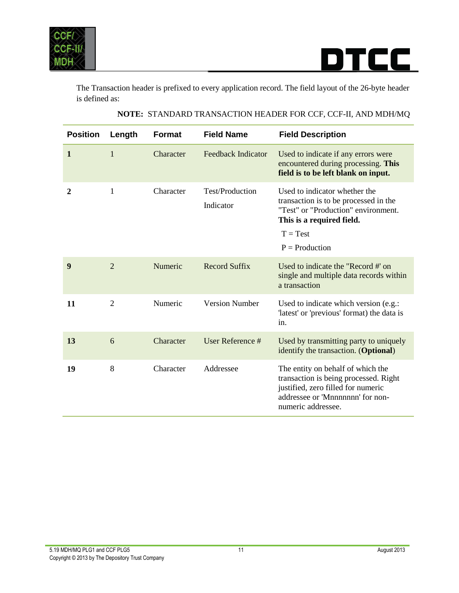

The Transaction header is prefixed to every application record. The field layout of the 26-byte header is defined as:

<span id="page-10-0"></span>

| <b>Position</b> | Length         | <b>Format</b> | <b>Field Name</b>            | <b>Field Description</b>                                                                                                                                                     |
|-----------------|----------------|---------------|------------------------------|------------------------------------------------------------------------------------------------------------------------------------------------------------------------------|
| 1               | $\mathbf{1}$   | Character     | <b>Feedback Indicator</b>    | Used to indicate if any errors were<br>encountered during processing. This<br>field is to be left blank on input.                                                            |
| 2               | 1              | Character     | Test/Production<br>Indicator | Used to indicator whether the<br>transaction is to be processed in the<br>"Test" or "Production" environment.<br>This is a required field.<br>$T = Test$<br>$P =$ Production |
| 9               | $\overline{2}$ | Numeric       | <b>Record Suffix</b>         | Used to indicate the "Record #' on<br>single and multiple data records within<br>a transaction                                                                               |
| 11              | $\overline{2}$ | Numeric       | <b>Version Number</b>        | Used to indicate which version (e.g.:<br>'latest' or 'previous' format) the data is<br>in.                                                                                   |
| 13              | 6              | Character     | User Reference #             | Used by transmitting party to uniquely<br>identify the transaction. (Optional)                                                                                               |
| 19              | 8              | Character     | Addressee                    | The entity on behalf of which the<br>transaction is being processed. Right<br>justified, zero filled for numeric<br>addressee or 'Mnnnnnnn' for non-<br>numeric addressee.   |

#### **NOTE:** STANDARD TRANSACTION HEADER FOR CCF, CCF-II, AND MDH/MQ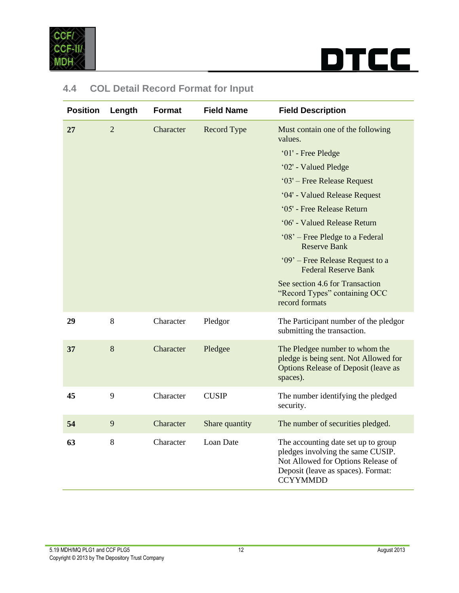

| <b>Position</b> | Length         | <b>Format</b> | <b>Field Name</b> | <b>Field Description</b>                                                                                                                                                |
|-----------------|----------------|---------------|-------------------|-------------------------------------------------------------------------------------------------------------------------------------------------------------------------|
| 27              | $\overline{2}$ | Character     | Record Type       | Must contain one of the following<br>values.                                                                                                                            |
|                 |                |               |                   | '01' - Free Pledge                                                                                                                                                      |
|                 |                |               |                   | '02' - Valued Pledge                                                                                                                                                    |
|                 |                |               |                   | '03' – Free Release Request                                                                                                                                             |
|                 |                |               |                   | '04' - Valued Release Request                                                                                                                                           |
|                 |                |               |                   | '05' - Free Release Return                                                                                                                                              |
|                 |                |               |                   | '06' - Valued Release Return                                                                                                                                            |
|                 |                |               |                   | '08' – Free Pledge to a Federal<br><b>Reserve Bank</b>                                                                                                                  |
|                 |                |               |                   | '09' – Free Release Request to a<br><b>Federal Reserve Bank</b>                                                                                                         |
|                 |                |               |                   | See section 4.6 for Transaction<br>"Record Types" containing OCC<br>record formats                                                                                      |
| 29              | 8              | Character     | Pledgor           | The Participant number of the pledgor<br>submitting the transaction.                                                                                                    |
| 37              | $8\,$          | Character     | Pledgee           | The Pledgee number to whom the<br>pledge is being sent. Not Allowed for<br><b>Options Release of Deposit (leave as</b><br>spaces).                                      |
| 45              | 9              | Character     | <b>CUSIP</b>      | The number identifying the pledged<br>security.                                                                                                                         |
| 54              | 9              | Character     | Share quantity    | The number of securities pledged.                                                                                                                                       |
| 63              | 8              | Character     | Loan Date         | The accounting date set up to group<br>pledges involving the same CUSIP.<br>Not Allowed for Options Release of<br>Deposit (leave as spaces). Format:<br><b>CCYYMMDD</b> |

### **4.4 COL Detail Record Format for Input**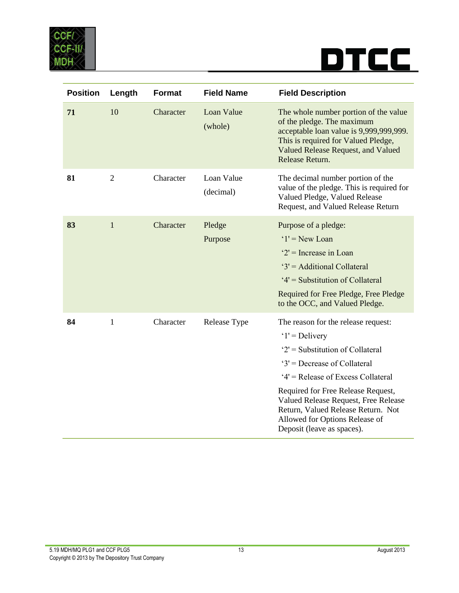

| <b>Position</b> | Length         | <b>Format</b> | <b>Field Name</b>       | <b>Field Description</b>                                                                                                                                                                                                                                                                                                                                |
|-----------------|----------------|---------------|-------------------------|---------------------------------------------------------------------------------------------------------------------------------------------------------------------------------------------------------------------------------------------------------------------------------------------------------------------------------------------------------|
| 71              | 10             | Character     | Loan Value<br>(whole)   | The whole number portion of the value<br>of the pledge. The maximum<br>acceptable loan value is 9,999,999,999.<br>This is required for Valued Pledge,<br>Valued Release Request, and Valued<br>Release Return.                                                                                                                                          |
| 81              | $\overline{2}$ | Character     | Loan Value<br>(decimal) | The decimal number portion of the<br>value of the pledge. This is required for<br>Valued Pledge, Valued Release<br>Request, and Valued Release Return                                                                                                                                                                                                   |
| 83              | $\mathbf{1}$   | Character     | Pledge<br>Purpose       | Purpose of a pledge:<br>$'1'$ = New Loan<br>$2'$ = Increase in Loan<br>'3' = Additional Collateral<br>'4' = Substitution of Collateral<br>Required for Free Pledge, Free Pledge<br>to the OCC, and Valued Pledge.                                                                                                                                       |
| 84              | $\mathbf{1}$   | Character     | Release Type            | The reason for the release request:<br>$'1'$ = Delivery<br>$2'$ = Substitution of Collateral<br>$3'$ = Decrease of Collateral<br>'4' = Release of Excess Collateral<br>Required for Free Release Request,<br>Valued Release Request, Free Release<br>Return, Valued Release Return. Not<br>Allowed for Options Release of<br>Deposit (leave as spaces). |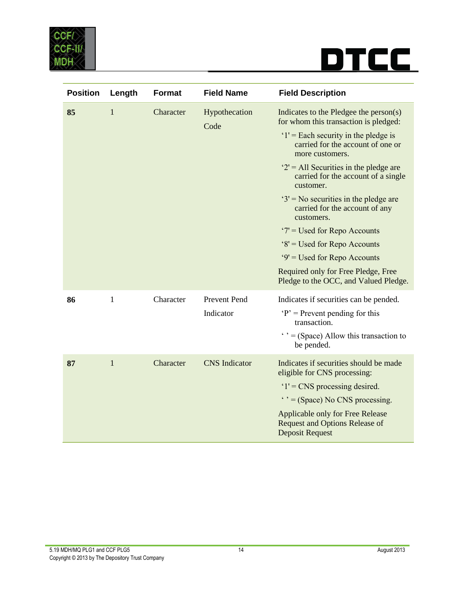

| <b>Position</b> | Length       | <b>Format</b> | <b>Field Name</b>     | <b>Field Description</b>                                                                            |
|-----------------|--------------|---------------|-----------------------|-----------------------------------------------------------------------------------------------------|
| 85              | $\mathbf{1}$ | Character     | Hypothecation<br>Code | Indicates to the Pledgee the person(s)<br>for whom this transaction is pledged:                     |
|                 |              |               |                       | $1'$ = Each security in the pledge is<br>carried for the account of one or<br>more customers.       |
|                 |              |               |                       | $2'$ = All Securities in the pledge are<br>carried for the account of a single<br>customer.         |
|                 |              |               |                       | $3'$ = No securities in the pledge are<br>carried for the account of any<br>customers.              |
|                 |              |               |                       | $7 =$ Used for Repo Accounts                                                                        |
|                 |              |               |                       | '8' = Used for Repo Accounts                                                                        |
|                 |              |               |                       | '9' = Used for Repo Accounts                                                                        |
|                 |              |               |                       | Required only for Free Pledge, Free<br>Pledge to the OCC, and Valued Pledge.                        |
| 86              | $\mathbf{1}$ | Character     | Prevent Pend          | Indicates if securities can be pended.                                                              |
|                 |              |               | Indicator             | $P'$ = Prevent pending for this<br>transaction.                                                     |
|                 |              |               |                       | $\cdot$ $\cdot$ = (Space) Allow this transaction to<br>be pended.                                   |
| 87              | $\mathbf{1}$ | Character     | <b>CNS</b> Indicator  | Indicates if securities should be made<br>eligible for CNS processing:                              |
|                 |              |               |                       | $1'$ = CNS processing desired.                                                                      |
|                 |              |               |                       | $\cdot$ $\cdot$ = (Space) No CNS processing.                                                        |
|                 |              |               |                       | Applicable only for Free Release<br><b>Request and Options Release of</b><br><b>Deposit Request</b> |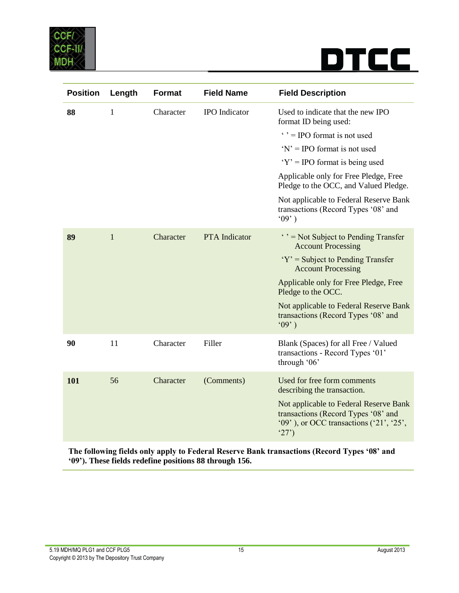

| <b>Position</b> | Length       | <b>Format</b> | <b>Field Name</b>    | <b>Field Description</b>                                                                                                          |
|-----------------|--------------|---------------|----------------------|-----------------------------------------------------------------------------------------------------------------------------------|
| 88              | $\mathbf{1}$ | Character     | <b>IPO</b> Indicator | Used to indicate that the new IPO<br>format ID being used:                                                                        |
|                 |              |               |                      | $\cdot$ $\cdot$ = IPO format is not used                                                                                          |
|                 |              |               |                      | $Y' = \text{IPO}$ format is not used                                                                                              |
|                 |              |               |                      | $Y' = \text{IPO}$ format is being used                                                                                            |
|                 |              |               |                      | Applicable only for Free Pledge, Free<br>Pledge to the OCC, and Valued Pledge.                                                    |
|                 |              |               |                      | Not applicable to Federal Reserve Bank<br>transactions (Record Types '08' and<br>(09)                                             |
| 89              | $\mathbf{1}$ | Character     | <b>PTA</b> Indicator | $\cdot$ $\cdot$ = Not Subject to Pending Transfer<br><b>Account Processing</b>                                                    |
|                 |              |               |                      | $Y' =$ Subject to Pending Transfer<br><b>Account Processing</b>                                                                   |
|                 |              |               |                      | Applicable only for Free Pledge, Free<br>Pledge to the OCC.                                                                       |
|                 |              |               |                      | Not applicable to Federal Reserve Bank<br>transactions (Record Types '08' and<br>(09)                                             |
| 90              | 11           | Character     | Filler               | Blank (Spaces) for all Free / Valued<br>transactions - Record Types '01'<br>through '06'                                          |
| 101             | 56           | Character     | (Comments)           | Used for free form comments<br>describing the transaction.                                                                        |
|                 |              |               |                      | Not applicable to Federal Reserve Bank<br>transactions (Record Types '08' and<br>$(99)$ , or OCC transactions $(21, 25)$ ,<br>27) |

**The following fields only apply to Federal Reserve Bank transactions (Record Types '08' and '09'). These fields redefine positions 88 through 156.**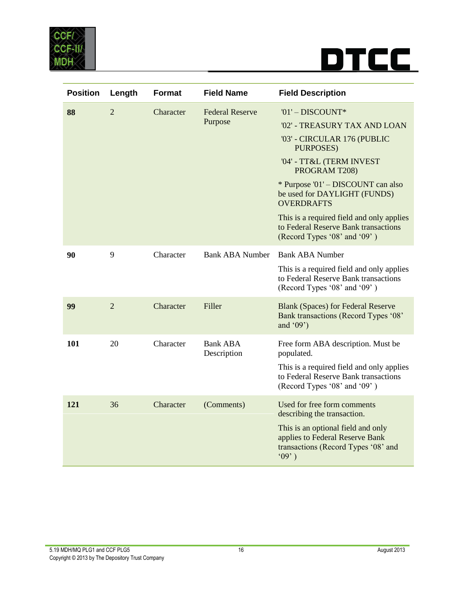

<span id="page-15-0"></span>

| <b>Position</b> | Length         | <b>Format</b> | <b>Field Name</b>              | <b>Field Description</b>                                                                                              |
|-----------------|----------------|---------------|--------------------------------|-----------------------------------------------------------------------------------------------------------------------|
| 88              | $\overline{2}$ | Character     | <b>Federal Reserve</b>         | '01' - DISCOUNT*                                                                                                      |
|                 |                |               | Purpose                        | '02' - TREASURY TAX AND LOAN                                                                                          |
|                 |                |               |                                | '03' - CIRCULAR 176 (PUBLIC<br>PURPOSES)                                                                              |
|                 |                |               |                                | '04' - TT&L (TERM INVEST<br>PROGRAM T208)                                                                             |
|                 |                |               |                                | * Purpose '01' – DISCOUNT can also<br>be used for DAYLIGHT (FUNDS)<br><b>OVERDRAFTS</b>                               |
|                 |                |               |                                | This is a required field and only applies<br>to Federal Reserve Bank transactions<br>(Record Types '08' and '09')     |
| 90              | 9              | Character     | <b>Bank ABA Number</b>         | <b>Bank ABA Number</b>                                                                                                |
|                 |                |               |                                | This is a required field and only applies<br>to Federal Reserve Bank transactions<br>(Record Types '08' and '09')     |
| 99              | $\overline{2}$ | Character     | Filler                         | <b>Blank (Spaces) for Federal Reserve</b><br>Bank transactions (Record Types '08'<br>and ' $09$ ')                    |
| 101             | 20             | Character     | <b>Bank ABA</b><br>Description | Free form ABA description. Must be<br>populated.                                                                      |
|                 |                |               |                                | This is a required field and only applies<br>to Federal Reserve Bank transactions<br>(Record Types '08' and '09')     |
| 121             | 36             | Character     | (Comments)                     | Used for free form comments<br>describing the transaction.                                                            |
|                 |                |               |                                | This is an optional field and only<br>applies to Federal Reserve Bank<br>transactions (Record Types '08' and<br>(09') |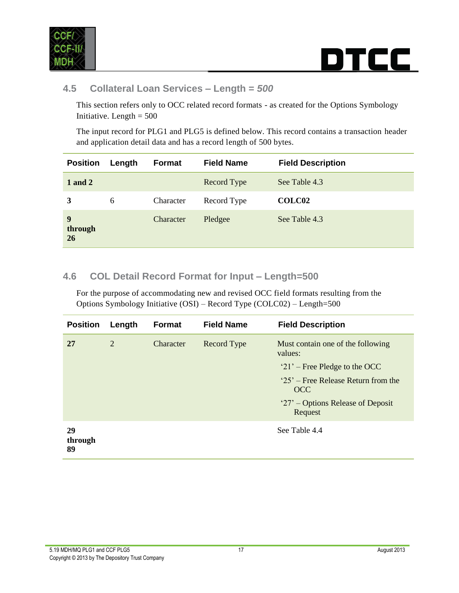

### rcc i DT

#### **4.5 Collateral Loan Services – Length =** *500*

This section refers only to OCC related record formats - as created for the Options Symbology Initiative. Length  $= 500$ 

The input record for PLG1 and PLG5 is defined below. This record contains a transaction header and application detail data and has a record length of 500 bytes.

| <b>Position</b>    | Length | Format    | <b>Field Name</b> | <b>Field Description</b> |
|--------------------|--------|-----------|-------------------|--------------------------|
| 1 and 2            |        |           | Record Type       | See Table 4.3            |
| 3                  | 6      | Character | Record Type       | COLC02                   |
| 9<br>through<br>26 |        | Character | Pledgee           | See Table 4.3            |

#### <span id="page-16-0"></span>**4.6 COL Detail Record Format for Input – Length=500**

For the purpose of accommodating new and revised OCC field formats resulting from the Options Symbology Initiative (OSI) – Record Type (COLC02) – Length=500

| <b>Position</b>     | Length | <b>Format</b> | <b>Field Name</b> | <b>Field Description</b>                     |
|---------------------|--------|---------------|-------------------|----------------------------------------------|
| 27                  | 2      | Character     | Record Type       | Must contain one of the following<br>values: |
|                     |        |               |                   | $21'$ – Free Pledge to the OCC               |
|                     |        |               |                   | $25'$ – Free Release Return from the<br>OCC  |
|                     |        |               |                   | '27' – Options Release of Deposit<br>Request |
| 29<br>through<br>89 |        |               |                   | See Table 4.4                                |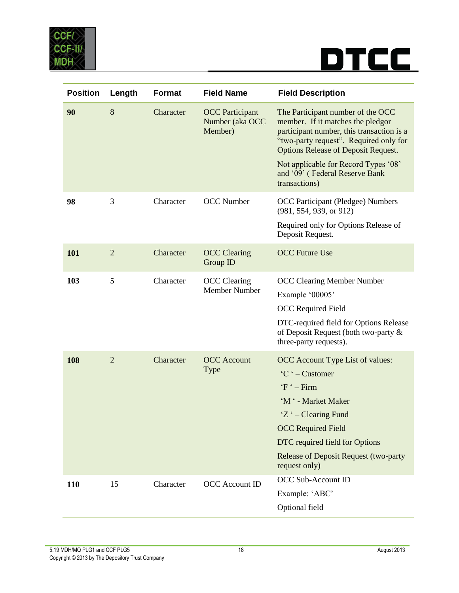

| <b>Position</b> | Length         | <b>Format</b> | <b>Field Name</b>                                    | <b>Field Description</b>                                                                                                                                                                                                                                                                               |
|-----------------|----------------|---------------|------------------------------------------------------|--------------------------------------------------------------------------------------------------------------------------------------------------------------------------------------------------------------------------------------------------------------------------------------------------------|
| 90              | 8              | Character     | <b>OCC</b> Participant<br>Number (aka OCC<br>Member) | The Participant number of the OCC<br>member. If it matches the pledgor<br>participant number, this transaction is a<br>"two-party request". Required only for<br><b>Options Release of Deposit Request.</b><br>Not applicable for Record Types '08'<br>and '09' (Federal Reserve Bank<br>transactions) |
| 98              | 3              | Character     | <b>OCC</b> Number                                    | <b>OCC Participant (Pledgee) Numbers</b><br>(981, 554, 939, or 912)<br>Required only for Options Release of<br>Deposit Request.                                                                                                                                                                        |
| 101             | $\overline{2}$ | Character     | <b>OCC</b> Clearing<br>Group ID                      | <b>OCC Future Use</b>                                                                                                                                                                                                                                                                                  |
| 103             | 5              | Character     | <b>OCC</b> Clearing<br>Member Number                 | <b>OCC Clearing Member Number</b><br>Example '00005'<br><b>OCC</b> Required Field<br>DTC-required field for Options Release<br>of Deposit Request (both two-party &<br>three-party requests).                                                                                                          |
| 108             | $\overline{2}$ | Character     | <b>OCC</b> Account<br><b>Type</b>                    | OCC Account Type List of values:<br>'C ' – Customer<br>$F - Firm$<br>'M ' - Market Maker<br>'Z ' – Clearing Fund<br><b>OCC Required Field</b><br>DTC required field for Options<br><b>Release of Deposit Request (two-party</b><br>request only)                                                       |
| 110             | 15             | Character     | <b>OCC</b> Account ID                                | <b>OCC Sub-Account ID</b><br>Example: 'ABC'<br>Optional field                                                                                                                                                                                                                                          |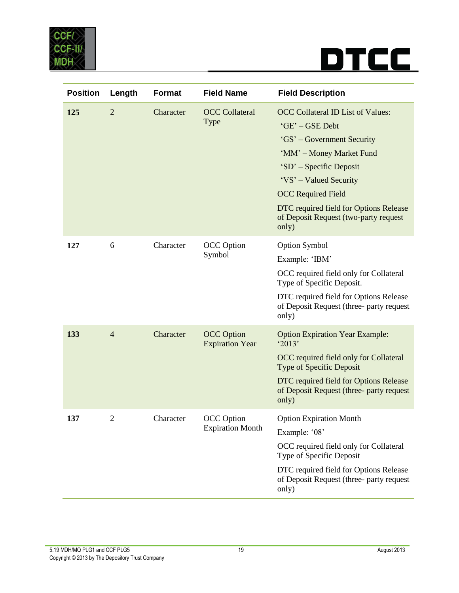

| <b>Position</b> | Length         | <b>Format</b> | <b>Field Name</b>                            | <b>Field Description</b>                                                                                                                                                                                                                                                                            |
|-----------------|----------------|---------------|----------------------------------------------|-----------------------------------------------------------------------------------------------------------------------------------------------------------------------------------------------------------------------------------------------------------------------------------------------------|
| 125             | $\overline{2}$ | Character     | <b>OCC</b> Collateral<br>Type                | <b>OCC Collateral ID List of Values:</b><br>'GE' - GSE Debt<br>'GS' - Government Security<br>'MM' - Money Market Fund<br>'SD' – Specific Deposit<br>'VS' – Valued Security<br><b>OCC Required Field</b><br>DTC required field for Options Release<br>of Deposit Request (two-party request<br>only) |
| 127             | 6              | Character     | <b>OCC</b> Option<br>Symbol                  | <b>Option Symbol</b><br>Example: 'IBM'<br>OCC required field only for Collateral<br>Type of Specific Deposit.<br>DTC required field for Options Release<br>of Deposit Request (three- party request<br>only)                                                                                        |
| 133             | $\overline{4}$ | Character     | <b>OCC</b> Option<br><b>Expiration Year</b>  | <b>Option Expiration Year Example:</b><br>'2013'<br>OCC required field only for Collateral<br><b>Type of Specific Deposit</b><br>DTC required field for Options Release<br>of Deposit Request (three- party request<br>only)                                                                        |
| 137             | $\overline{c}$ | Character     | <b>OCC</b> Option<br><b>Expiration Month</b> | <b>Option Expiration Month</b><br>Example: '08'<br>OCC required field only for Collateral<br>Type of Specific Deposit<br>DTC required field for Options Release<br>of Deposit Request (three-party request<br>only)                                                                                 |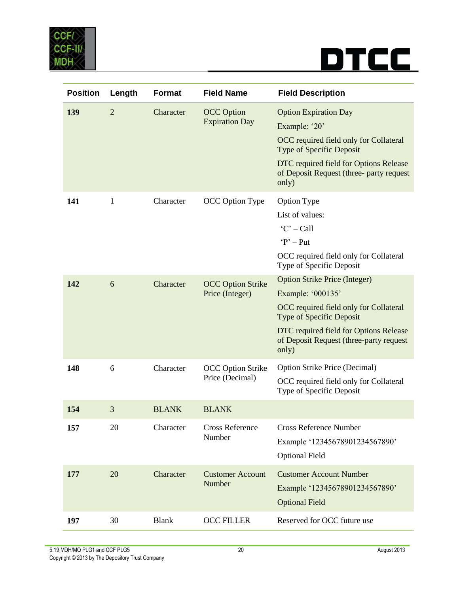

| <b>Position</b> | Length         | Format       | <b>Field Name</b>                           | <b>Field Description</b>                                                                                                                                                                                                             |
|-----------------|----------------|--------------|---------------------------------------------|--------------------------------------------------------------------------------------------------------------------------------------------------------------------------------------------------------------------------------------|
| 139             | $\overline{2}$ | Character    | <b>OCC</b> Option<br><b>Expiration Day</b>  | <b>Option Expiration Day</b><br>Example: '20'<br>OCC required field only for Collateral<br><b>Type of Specific Deposit</b><br>DTC required field for Options Release<br>of Deposit Request (three- party request<br>only)            |
| 141             | 1              | Character    | OCC Option Type                             | <b>Option Type</b><br>List of values:<br>$'C' - Call$<br>$P'$ – Put<br>OCC required field only for Collateral<br>Type of Specific Deposit                                                                                            |
| 142             | 6              | Character    | <b>OCC Option Strike</b><br>Price (Integer) | <b>Option Strike Price (Integer)</b><br>Example: '000135'<br>OCC required field only for Collateral<br><b>Type of Specific Deposit</b><br>DTC required field for Options Release<br>of Deposit Request (three-party request<br>only) |
| 148             | 6              | Character    | <b>OCC Option Strike</b><br>Price (Decimal) | <b>Option Strike Price (Decimal)</b><br>OCC required field only for Collateral<br>Type of Specific Deposit                                                                                                                           |
| 154             | 3              | <b>BLANK</b> | <b>BLANK</b>                                |                                                                                                                                                                                                                                      |
| 157             | 20             | Character    | <b>Cross Reference</b><br>Number            | <b>Cross Reference Number</b><br>Example '12345678901234567890'<br><b>Optional Field</b>                                                                                                                                             |
| 177             | 20             | Character    | <b>Customer Account</b><br>Number           | <b>Customer Account Number</b><br>Example '12345678901234567890'<br><b>Optional Field</b>                                                                                                                                            |
| 197             | 30             | <b>Blank</b> | <b>OCC FILLER</b>                           | Reserved for OCC future use                                                                                                                                                                                                          |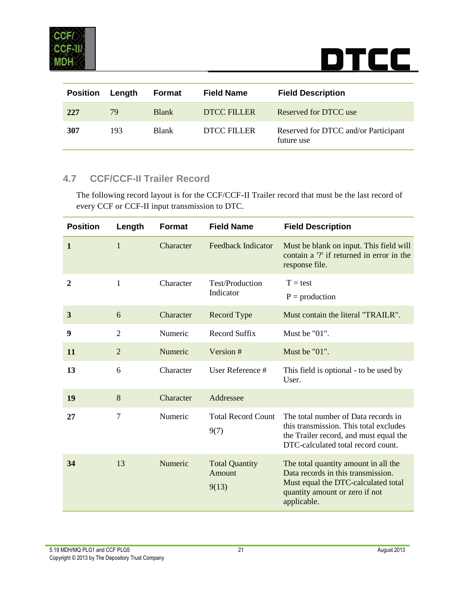

| <b>Position</b> | Length | Format       | <b>Field Name</b> | <b>Field Description</b>                           |
|-----------------|--------|--------------|-------------------|----------------------------------------------------|
| 227             | 79     | <b>Blank</b> | DTCC FILLER       | Reserved for DTCC use                              |
| 307             | 193    | <b>Blank</b> | DTCC FILLER       | Reserved for DTCC and/or Participant<br>future use |

#### <span id="page-20-0"></span>**4.7 CCF/CCF-II Trailer Record**

The following record layout is for the CCF/CCF-II Trailer record that must be the last record of every CCF or CCF-II input transmission to DTC.

| <b>Position</b> | Length         | <b>Format</b> | <b>Field Name</b>                        | <b>Field Description</b>                                                                                                                                           |
|-----------------|----------------|---------------|------------------------------------------|--------------------------------------------------------------------------------------------------------------------------------------------------------------------|
| $\mathbf{1}$    | $\mathbf{1}$   | Character     | <b>Feedback Indicator</b>                | Must be blank on input. This field will<br>contain a '?' if returned in error in the<br>response file.                                                             |
| 2               | $\mathbf{1}$   | Character     | Test/Production<br>Indicator             | $T = test$<br>$P =$ production                                                                                                                                     |
| 3               | 6              | Character     | <b>Record Type</b>                       | Must contain the literal "TRAILR".                                                                                                                                 |
| 9               | $\overline{2}$ | Numeric       | <b>Record Suffix</b>                     | Must be "01".                                                                                                                                                      |
| 11              | $\overline{2}$ | Numeric       | Version #                                | Must be "01".                                                                                                                                                      |
| 13              | 6              | Character     | User Reference #                         | This field is optional - to be used by<br>User.                                                                                                                    |
| 19              | 8              | Character     | Addressee                                |                                                                                                                                                                    |
| 27              | $\overline{7}$ | Numeric       | <b>Total Record Count</b><br>9(7)        | The total number of Data records in<br>this transmission. This total excludes<br>the Trailer record, and must equal the<br>DTC-calculated total record count.      |
| 34              | 13             | Numeric       | <b>Total Quantity</b><br>Amount<br>9(13) | The total quantity amount in all the<br>Data records in this transmission.<br>Must equal the DTC-calculated total<br>quantity amount or zero if not<br>applicable. |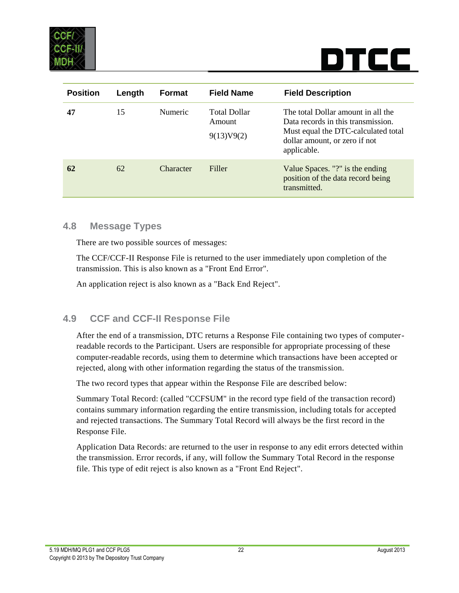

| <b>Position</b> | Length | <b>Format</b>  | <b>Field Name</b>                           | <b>Field Description</b>                                                                                                                                        |
|-----------------|--------|----------------|---------------------------------------------|-----------------------------------------------------------------------------------------------------------------------------------------------------------------|
| 47              | 15     | <b>Numeric</b> | <b>Total Dollar</b><br>Amount<br>9(13)V9(2) | The total Dollar amount in all the<br>Data records in this transmission.<br>Must equal the DTC-calculated total<br>dollar amount, or zero if not<br>applicable. |
| 62              | 62     | Character      | Filler                                      | Value Spaces. "?" is the ending<br>position of the data record being<br>transmitted.                                                                            |

#### <span id="page-21-0"></span>**4.8 Message Types**

There are two possible sources of messages:

The CCF/CCF-II Response File is returned to the user immediately upon completion of the transmission. This is also known as a "Front End Error".

An application reject is also known as a "Back End Reject".

#### <span id="page-21-1"></span>**4.9 CCF and CCF-II Response File**

After the end of a transmission, DTC returns a Response File containing two types of computerreadable records to the Participant. Users are responsible for appropriate processing of these computer-readable records, using them to determine which transactions have been accepted or rejected, along with other information regarding the status of the transmission.

The two record types that appear within the Response File are described below:

Summary Total Record: (called "CCFSUM" in the record type field of the transaction record) contains summary information regarding the entire transmission, including totals for accepted and rejected transactions. The Summary Total Record will always be the first record in the Response File.

Application Data Records: are returned to the user in response to any edit errors detected within the transmission. Error records, if any, will follow the Summary Total Record in the response file. This type of edit reject is also known as a "Front End Reject".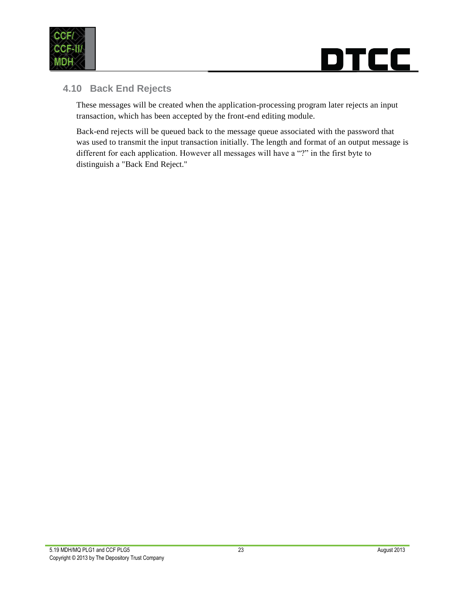



#### <span id="page-22-0"></span>**4.10 Back End Rejects**

These messages will be created when the application-processing program later rejects an input transaction, which has been accepted by the front-end editing module.

Back-end rejects will be queued back to the message queue associated with the password that was used to transmit the input transaction initially. The length and format of an output message is different for each application. However all messages will have a "?" in the first byte to distinguish a "Back End Reject."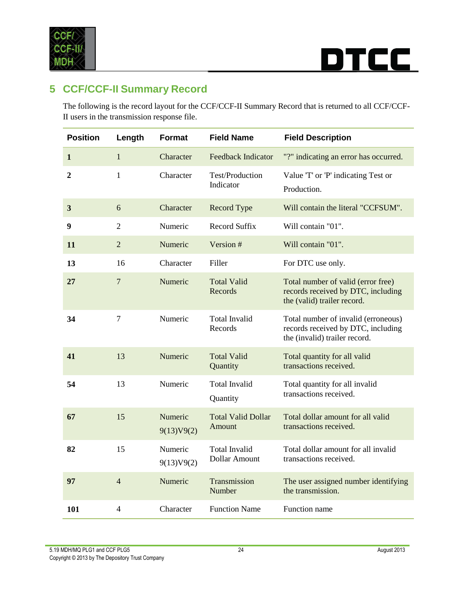

### **TCC** DJ

### <span id="page-23-0"></span>**5 CCF/CCF-II Summary Record**

The following is the record layout for the CCF/CCF-II Summary Record that is returned to all CCF/CCF-II users in the transmission response file.

| <b>Position</b> | Length                   | Format                | <b>Field Name</b>                     | <b>Field Description</b>                                                                                   |
|-----------------|--------------------------|-----------------------|---------------------------------------|------------------------------------------------------------------------------------------------------------|
| $\mathbf 1$     | $\mathbf{1}$             | Character             | <b>Feedback Indicator</b>             | "?" indicating an error has occurred.                                                                      |
| $\overline{2}$  | 1                        | Character             | Test/Production<br>Indicator          | Value 'T' or 'P' indicating Test or<br>Production.                                                         |
| $\mathbf{3}$    | 6                        | Character             | Record Type                           | Will contain the literal "CCFSUM".                                                                         |
| 9               | $\overline{2}$           | Numeric               | Record Suffix                         | Will contain "01".                                                                                         |
| 11              | $\overline{2}$           | Numeric               | Version #                             | Will contain "01".                                                                                         |
| 13              | 16                       | Character             | Filler                                | For DTC use only.                                                                                          |
| 27              | $\overline{7}$           | Numeric               | <b>Total Valid</b><br>Records         | Total number of valid (error free)<br>records received by DTC, including<br>the (valid) trailer record.    |
| 34              | $\overline{7}$           | Numeric               | <b>Total Invalid</b><br>Records       | Total number of invalid (erroneous)<br>records received by DTC, including<br>the (invalid) trailer record. |
| 41              | 13                       | Numeric               | <b>Total Valid</b><br>Quantity        | Total quantity for all valid<br>transactions received.                                                     |
| 54              | 13                       | Numeric               | Total Invalid<br>Quantity             | Total quantity for all invalid<br>transactions received.                                                   |
| 67              | 15                       | Numeric<br>9(13)V9(2) | <b>Total Valid Dollar</b><br>Amount   | Total dollar amount for all valid<br>transactions received.                                                |
| 82              | 15                       | Numeric<br>9(13)V9(2) | <b>Total Invalid</b><br>Dollar Amount | Total dollar amount for all invalid<br>transactions received.                                              |
| 97              | $\overline{4}$           | Numeric               | Transmission<br>Number                | The user assigned number identifying<br>the transmission.                                                  |
| 101             | $\overline{\mathcal{A}}$ | Character             | <b>Function Name</b>                  | Function name                                                                                              |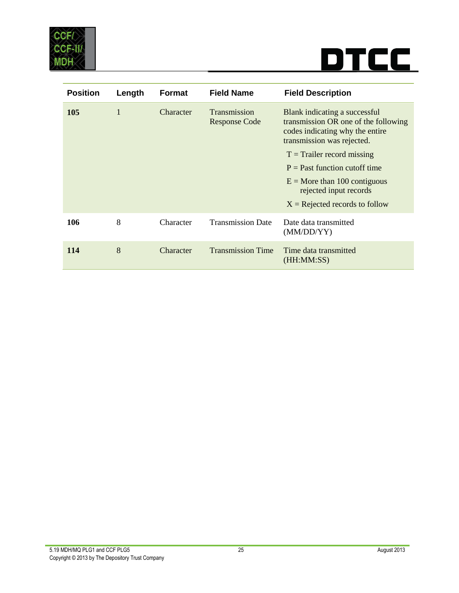

| <b>Position</b> | Length       | <b>Format</b> | <b>Field Name</b>                    | <b>Field Description</b>                                                                                                                                                                                                                                                                                  |
|-----------------|--------------|---------------|--------------------------------------|-----------------------------------------------------------------------------------------------------------------------------------------------------------------------------------------------------------------------------------------------------------------------------------------------------------|
| <b>105</b>      | $\mathbf{1}$ | Character     | Transmission<br><b>Response Code</b> | Blank indicating a successful<br>transmission OR one of the following<br>codes indicating why the entire<br>transmission was rejected.<br>$T =$ Trailer record missing<br>$P =$ Past function cutoff time<br>$E =$ More than 100 contiguous<br>rejected input records<br>$X =$ Rejected records to follow |
| 106             | 8            | Character     | <b>Transmission Date</b>             | Date data transmitted<br>(MM/DD/YY)                                                                                                                                                                                                                                                                       |
| 114             | 8            | Character     | <b>Transmission Time</b>             | Time data transmitted<br>(HH:MM:SS)                                                                                                                                                                                                                                                                       |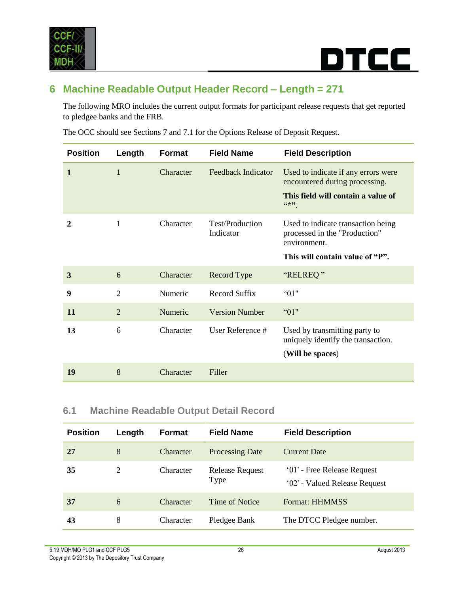

```
DTCC
```
### <span id="page-25-0"></span>**6 Machine Readable Output Header Record – Length = 271**

The following MRO includes the current output formats for participant release requests that get reported to pledgee banks and the FRB.

The OCC should see Sections 7 and 7.1 for the Options Release of Deposit Request.

| <b>Position</b> | Length         | Format    | <b>Field Name</b>            | <b>Field Description</b>                                                                                               |
|-----------------|----------------|-----------|------------------------------|------------------------------------------------------------------------------------------------------------------------|
| $\mathbf{1}$    | $\mathbf{1}$   | Character | <b>Feedback Indicator</b>    | Used to indicate if any errors were<br>encountered during processing.<br>This field will contain a value of<br>$66*99$ |
| 2               | 1              | Character | Test/Production<br>Indicator | Used to indicate transaction being<br>processed in the "Production"<br>environment.<br>This will contain value of "P". |
| 3               | 6              | Character | Record Type                  | "RELREQ"                                                                                                               |
| 9               | $\overline{2}$ | Numeric   | Record Suffix                | "01"                                                                                                                   |
| 11              | $\overline{2}$ | Numeric   | <b>Version Number</b>        | "01"                                                                                                                   |
| 13              | 6              | Character | User Reference #             | Used by transmitting party to<br>uniquely identify the transaction.<br>(Will be spaces)                                |
| 19              | 8              | Character | Filler                       |                                                                                                                        |

#### <span id="page-25-1"></span>**6.1 Machine Readable Output Detail Record**

| <b>Position</b> | Length | Format    | <b>Field Name</b>              | <b>Field Description</b>                                     |
|-----------------|--------|-----------|--------------------------------|--------------------------------------------------------------|
| 27              | 8      | Character | <b>Processing Date</b>         | <b>Current Date</b>                                          |
| 35              | 2      | Character | <b>Release Request</b><br>Type | '01' - Free Release Request<br>'02' - Valued Release Request |
| 37              | 6      | Character | Time of Notice                 | <b>Format: HHMMSS</b>                                        |
| 43              | 8      | Character | Pledgee Bank                   | The DTCC Pledgee number.                                     |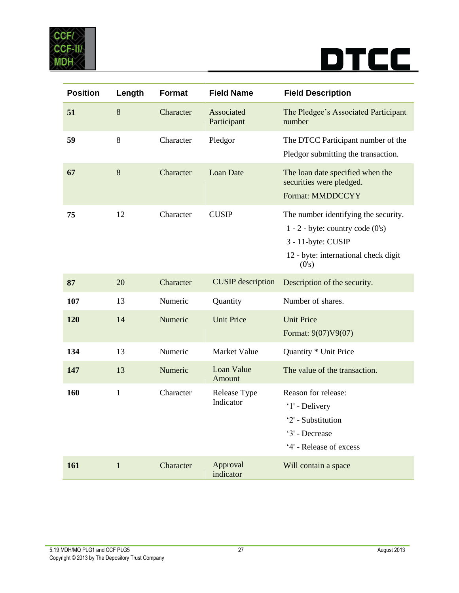

| <b>Position</b> | Length       | <b>Format</b> | <b>Field Name</b>         | <b>Field Description</b>                                                                                                                            |
|-----------------|--------------|---------------|---------------------------|-----------------------------------------------------------------------------------------------------------------------------------------------------|
| 51              | $8\,$        | Character     | Associated<br>Participant | The Pledgee's Associated Participant<br>number                                                                                                      |
| 59              | 8            | Character     | Pledgor                   | The DTCC Participant number of the<br>Pledgor submitting the transaction.                                                                           |
| 67              | $8\,$        | Character     | <b>Loan Date</b>          | The loan date specified when the<br>securities were pledged.<br><b>Format: MMDDCCYY</b>                                                             |
| 75              | 12           | Character     | <b>CUSIP</b>              | The number identifying the security.<br>$1 - 2$ - byte: country code $(0's)$<br>3 - 11-byte: CUSIP<br>12 - byte: international check digit<br>(0's) |
| 87              | 20           | Character     | <b>CUSIP</b> description  | Description of the security.                                                                                                                        |
| 107             | 13           | Numeric       | Quantity                  | Number of shares.                                                                                                                                   |
| 120             | 14           | Numeric       | <b>Unit Price</b>         | <b>Unit Price</b><br>Format: 9(07)V9(07)                                                                                                            |
| 134             | 13           | Numeric       | Market Value              | Quantity * Unit Price                                                                                                                               |
| 147             | 13           | Numeric       | Loan Value<br>Amount      | The value of the transaction.                                                                                                                       |
| 160             | $\mathbf{1}$ | Character     | Release Type<br>Indicator | Reason for release:<br>'1' - Delivery<br>'2' - Substitution<br>'3' - Decrease<br>'4' - Release of excess                                            |
| 161             | $\mathbf{1}$ | Character     | Approval<br>indicator     | Will contain a space                                                                                                                                |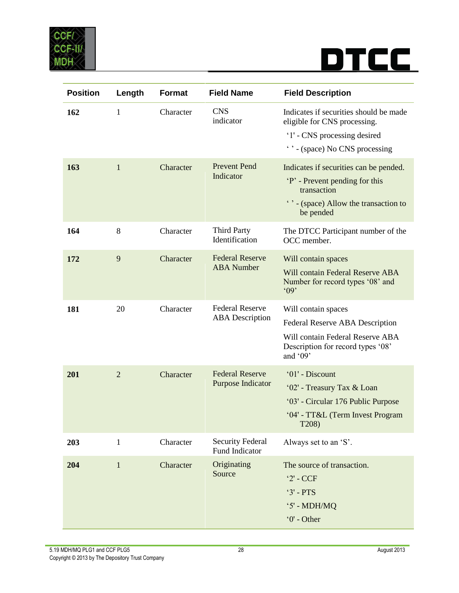

| <b>Position</b> | Length         | <b>Format</b> | <b>Field Name</b>                                | <b>Field Description</b>                                                                                                                       |
|-----------------|----------------|---------------|--------------------------------------------------|------------------------------------------------------------------------------------------------------------------------------------------------|
| 162             | 1              | Character     | <b>CNS</b><br>indicator                          | Indicates if securities should be made<br>eligible for CNS processing.<br>'1' - CNS processing desired<br>" - (space) No CNS processing        |
| 163             | $\mathbf{1}$   | Character     | <b>Prevent Pend</b><br>Indicator                 | Indicates if securities can be pended.<br>'P' - Prevent pending for this<br>transaction<br>' ' - (space) Allow the transaction to<br>be pended |
| 164             | 8              | Character     | <b>Third Party</b><br>Identification             | The DTCC Participant number of the<br>OCC member.                                                                                              |
| 172             | 9              | Character     | <b>Federal Reserve</b><br><b>ABA</b> Number      | Will contain spaces<br>Will contain Federal Reserve ABA<br>Number for record types '08' and<br>$^{\circ}09'$                                   |
| 181             | 20             | Character     | <b>Federal Reserve</b><br><b>ABA</b> Description | Will contain spaces<br>Federal Reserve ABA Description<br>Will contain Federal Reserve ABA<br>Description for record types '08'<br>and $'09'$  |
| 201             | $\overline{2}$ | Character     | <b>Federal Reserve</b><br>Purpose Indicator      | '01' - Discount<br>'02' - Treasury Tax & Loan<br>'03' - Circular 176 Public Purpose<br>'04' - TT&L (Term Invest Program<br>T208)               |
| 203             | $\mathbf{1}$   | Character     | <b>Security Federal</b><br><b>Fund Indicator</b> | Always set to an 'S'.                                                                                                                          |
| 204             | $\mathbf{1}$   | Character     | Originating<br>Source                            | The source of transaction.<br>$2'$ - CCF<br>$3'$ - PTS<br>$5'$ - MDH/MQ<br>$0'$ - Other                                                        |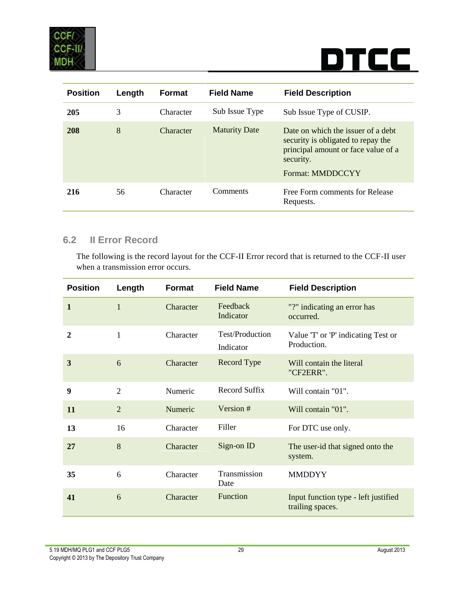

| <b>Position</b> | Length | <b>Format</b> | <b>Field Name</b>    | <b>Field Description</b>                                                                                                                         |
|-----------------|--------|---------------|----------------------|--------------------------------------------------------------------------------------------------------------------------------------------------|
| 205             | 3      | Character     | Sub Issue Type       | Sub Issue Type of CUSIP.                                                                                                                         |
| 208             | 8      | Character     | <b>Maturity Date</b> | Date on which the issuer of a debt<br>security is obligated to repay the<br>principal amount or face value of a<br>security.<br>Format: MMDDCCYY |
| 216             | 56     | Character     | Comments             | Free Form comments for Release<br>Requests.                                                                                                      |

#### <span id="page-28-0"></span>**6.2 II Error Record**

The following is the record layout for the CCF-II Error record that is returned to the CCF-II user when a transmission error occurs.

| <b>Position</b> | Length         | <b>Format</b> | <b>Field Name</b>            | <b>Field Description</b>                                 |
|-----------------|----------------|---------------|------------------------------|----------------------------------------------------------|
| $\mathbf{1}$    | 1              | Character     | Feedback<br>Indicator        | "?" indicating an error has<br>occurred.                 |
| 2               | 1              | Character     | Test/Production<br>Indicator | Value 'T' or 'P' indicating Test or<br>Production.       |
| 3               | 6              | Character     | Record Type                  | Will contain the literal<br>"CF2ERR".                    |
| 9               | $\overline{2}$ | Numeric       | Record Suffix                | Will contain "01".                                       |
| 11              | 2              | Numeric       | Version #                    | Will contain "01".                                       |
| 13              | 16             | Character     | Filler                       | For DTC use only.                                        |
| 27              | 8              | Character     | Sign-on ID                   | The user-id that signed onto the<br>system.              |
| 35              | 6              | Character     | Transmission<br>Date         | <b>MMDDYY</b>                                            |
| 41              | 6              | Character     | Function                     | Input function type - left justified<br>trailing spaces. |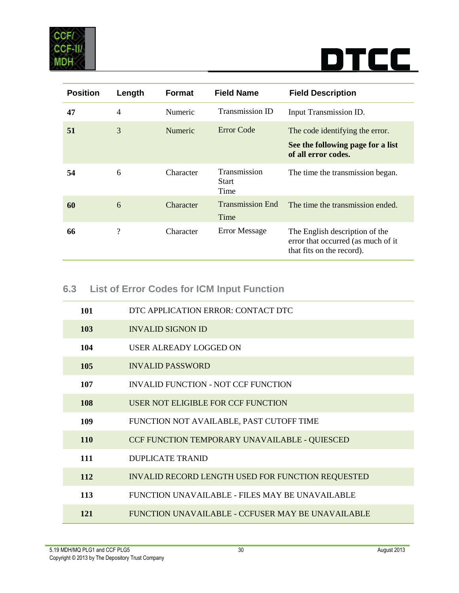

| <b>Position</b> | Length             | <b>Format</b>  | <b>Field Name</b>               | <b>Field Description</b>                                                                          |
|-----------------|--------------------|----------------|---------------------------------|---------------------------------------------------------------------------------------------------|
| 47              | $\overline{4}$     | <b>Numeric</b> | Transmission ID                 | Input Transmission ID.                                                                            |
| 51              | 3                  | <b>Numeric</b> | Error Code                      | The code identifying the error.<br>See the following page for a list<br>of all error codes.       |
| 54              | 6                  | Character      | Transmission<br>Start<br>Time   | The time the transmission began.                                                                  |
| 60              | 6                  | Character      | <b>Transmission End</b><br>Time | The time the transmission ended.                                                                  |
| 66              | $\overline{\cdot}$ | Character      | <b>Error Message</b>            | The English description of the<br>error that occurred (as much of it<br>that fits on the record). |

### <span id="page-29-0"></span>**6.3 List of Error Codes for ICM Input Function**

| 101 | DTC APPLICATION ERROR: CONTACT DTC                |
|-----|---------------------------------------------------|
| 103 | <b>INVALID SIGNON ID</b>                          |
| 104 | USER ALREADY LOGGED ON                            |
| 105 | <b>INVALID PASSWORD</b>                           |
| 107 | INVALID FUNCTION - NOT CCF FUNCTION               |
| 108 | USER NOT ELIGIBLE FOR CCF FUNCTION                |
| 109 | FUNCTION NOT AVAILABLE, PAST CUTOFF TIME          |
| 110 | CCF FUNCTION TEMPORARY UNAVAILABLE - QUIESCED     |
| 111 | <b>DUPLICATE TRANID</b>                           |
| 112 | INVALID RECORD LENGTH USED FOR FUNCTION REQUESTED |
| 113 | FUNCTION UNAVAILABLE - FILES MAY BE UNAVAILABLE   |
| 121 | FUNCTION UNAVAILABLE - CCFUSER MAY BE UNAVAILABLE |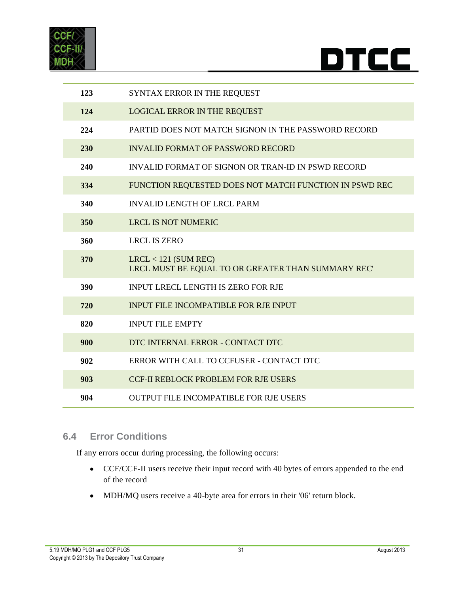



| 123 | SYNTAX ERROR IN THE REQUEST                                                  |
|-----|------------------------------------------------------------------------------|
| 124 | <b>LOGICAL ERROR IN THE REQUEST</b>                                          |
| 224 | PARTID DOES NOT MATCH SIGNON IN THE PASSWORD RECORD                          |
| 230 | <b>INVALID FORMAT OF PASSWORD RECORD</b>                                     |
| 240 | INVALID FORMAT OF SIGNON OR TRAN-ID IN PSWD RECORD                           |
| 334 | FUNCTION REQUESTED DOES NOT MATCH FUNCTION IN PSWD REC                       |
| 340 | <b>INVALID LENGTH OF LRCL PARM</b>                                           |
| 350 | <b>LRCL IS NOT NUMERIC</b>                                                   |
| 360 | <b>LRCL IS ZERO</b>                                                          |
| 370 | $LRCL < 121$ (SUM REC)<br>LRCL MUST BE EQUAL TO OR GREATER THAN SUMMARY REC' |
| 390 | <b>INPUT LRECL LENGTH IS ZERO FOR RJE</b>                                    |
| 720 | <b>INPUT FILE INCOMPATIBLE FOR RJE INPUT</b>                                 |
| 820 | <b>INPUT FILE EMPTY</b>                                                      |
| 900 | DTC INTERNAL ERROR - CONTACT DTC                                             |
| 902 | ERROR WITH CALL TO CCFUSER - CONTACT DTC                                     |
| 903 | <b>CCF-II REBLOCK PROBLEM FOR RJE USERS</b>                                  |
| 904 | <b>OUTPUT FILE INCOMPATIBLE FOR RJE USERS</b>                                |

#### <span id="page-30-0"></span>**6.4 Error Conditions**

If any errors occur during processing, the following occurs:

- CCF/CCF-II users receive their input record with 40 bytes of errors appended to the end of the record
- MDH/MQ users receive a 40-byte area for errors in their '06' return block.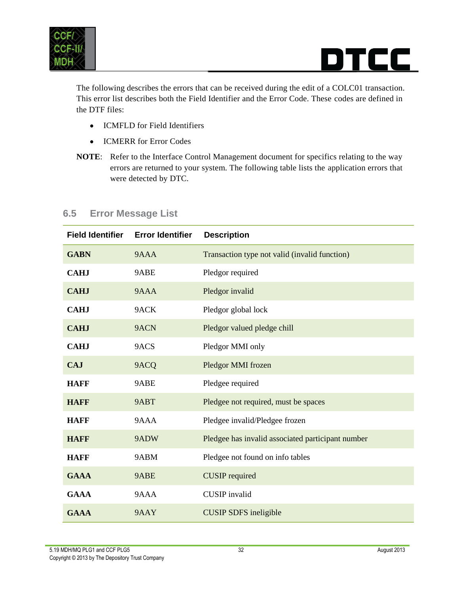

The following describes the errors that can be received during the edit of a COLC01 transaction. This error list describes both the Field Identifier and the Error Code. These codes are defined in the DTF files:

- ICMFLD for Field Identifiers
- ICMERR for Error Codes
- **NOTE**: Refer to the Interface Control Management document for specifics relating to the way errors are returned to your system. The following table lists the application errors that were detected by DTC.

| <b>Field Identifier</b> | <b>Error Identifier</b> | <b>Description</b>                                |
|-------------------------|-------------------------|---------------------------------------------------|
| <b>GABN</b>             | 9AAA                    | Transaction type not valid (invalid function)     |
| <b>CAHJ</b>             | 9ABE                    | Pledgor required                                  |
| <b>CAHJ</b>             | 9AAA                    | Pledgor invalid                                   |
| <b>CAHJ</b>             | 9ACK                    | Pledgor global lock                               |
| <b>CAHJ</b>             | 9ACN                    | Pledgor valued pledge chill                       |
| <b>CAHJ</b>             | 9ACS                    | Pledgor MMI only                                  |
| <b>CAJ</b>              | 9ACQ                    | Pledgor MMI frozen                                |
| <b>HAFF</b>             | 9ABE                    | Pledgee required                                  |
| <b>HAFF</b>             | 9ABT                    | Pledgee not required, must be spaces              |
| <b>HAFF</b>             | 9AAA                    | Pledgee invalid/Pledgee frozen                    |
| <b>HAFF</b>             | 9ADW                    | Pledgee has invalid associated participant number |
| <b>HAFF</b>             | 9ABM                    | Pledgee not found on info tables                  |
| <b>GAAA</b>             | 9ABE                    | <b>CUSIP</b> required                             |
| <b>GAAA</b>             | 9AAA                    | <b>CUSIP</b> invalid                              |
| <b>GAAA</b>             | 9AAY                    | <b>CUSIP SDFS</b> ineligible                      |

#### <span id="page-31-0"></span>**6.5 Error Message List**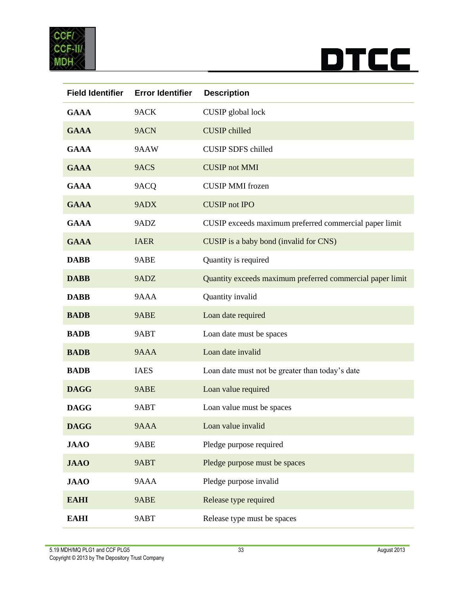



| <b>Field Identifier</b> | <b>Error Identifier</b> | <b>Description</b>                                        |
|-------------------------|-------------------------|-----------------------------------------------------------|
| <b>GAAA</b>             | 9ACK                    | CUSIP global lock                                         |
| <b>GAAA</b>             | 9ACN                    | <b>CUSIP</b> chilled                                      |
| <b>GAAA</b>             | 9AAW                    | <b>CUSIP SDFS chilled</b>                                 |
| <b>GAAA</b>             | 9ACS                    | <b>CUSIP</b> not MMI                                      |
| <b>GAAA</b>             | 9ACQ                    | <b>CUSIP MMI</b> frozen                                   |
| <b>GAAA</b>             | 9ADX                    | <b>CUSIP</b> not IPO                                      |
| <b>GAAA</b>             | 9ADZ                    | CUSIP exceeds maximum preferred commercial paper limit    |
| <b>GAAA</b>             | <b>IAER</b>             | CUSIP is a baby bond (invalid for CNS)                    |
| <b>DABB</b>             | 9ABE                    | Quantity is required                                      |
| <b>DABB</b>             | 9ADZ                    | Quantity exceeds maximum preferred commercial paper limit |
| <b>DABB</b>             | 9AAA                    | Quantity invalid                                          |
| <b>BADB</b>             | 9ABE                    | Loan date required                                        |
| <b>BADB</b>             | 9ABT                    | Loan date must be spaces                                  |
| <b>BADB</b>             | 9AAA                    | Loan date invalid                                         |
| <b>BADB</b>             | <b>IAES</b>             | Loan date must not be greater than today's date           |
| <b>DAGG</b>             | 9ABE                    | Loan value required                                       |
| <b>DAGG</b>             | 9ABT                    | Loan value must be spaces                                 |
| <b>DAGG</b>             | 9AAA                    | Loan value invalid                                        |
| <b>JAAO</b>             | 9ABE                    | Pledge purpose required                                   |
| <b>JAAO</b>             | 9ABT                    | Pledge purpose must be spaces                             |
| <b>JAAO</b>             | 9AAA                    | Pledge purpose invalid                                    |
| <b>EAHI</b>             | 9ABE                    | Release type required                                     |
| <b>EAHI</b>             | 9ABT                    | Release type must be spaces                               |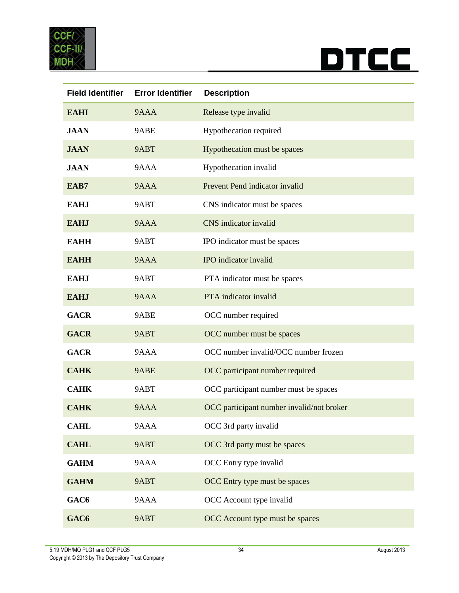



| <b>Field Identifier</b> | <b>Error Identifier</b> | <b>Description</b>                        |
|-------------------------|-------------------------|-------------------------------------------|
| <b>EAHI</b>             | 9AAA                    | Release type invalid                      |
| <b>JAAN</b>             | 9ABE                    | Hypothecation required                    |
| <b>JAAN</b>             | 9ABT                    | Hypothecation must be spaces              |
| <b>JAAN</b>             | 9AAA                    | Hypothecation invalid                     |
| EAB7                    | 9AAA                    | Prevent Pend indicator invalid            |
| <b>EAHJ</b>             | 9ABT                    | CNS indicator must be spaces              |
| <b>EAHJ</b>             | 9AAA                    | CNS indicator invalid                     |
| <b>EAHH</b>             | 9ABT                    | IPO indicator must be spaces              |
| <b>EAHH</b>             | 9AAA                    | IPO indicator invalid                     |
| <b>EAHJ</b>             | 9ABT                    | PTA indicator must be spaces              |
| <b>EAHJ</b>             | 9AAA                    | PTA indicator invalid                     |
| <b>GACR</b>             | 9ABE                    | OCC number required                       |
| <b>GACR</b>             | 9ABT                    | OCC number must be spaces                 |
| <b>GACR</b>             | 9AAA                    | OCC number invalid/OCC number frozen      |
| <b>CAHK</b>             | 9ABE                    | OCC participant number required           |
| <b>CAHK</b>             | 9ABT                    | OCC participant number must be spaces     |
| <b>CAHK</b>             | 9AAA                    | OCC participant number invalid/not broker |
| <b>CAHL</b>             | 9AAA                    | OCC 3rd party invalid                     |
| <b>CAHL</b>             | 9ABT                    | OCC 3rd party must be spaces              |
| <b>GAHM</b>             | 9AAA                    | OCC Entry type invalid                    |
| <b>GAHM</b>             | 9ABT                    | OCC Entry type must be spaces             |
| GAC <sub>6</sub>        | 9AAA                    | OCC Account type invalid                  |
| GAC <sub>6</sub>        | 9ABT                    | OCC Account type must be spaces           |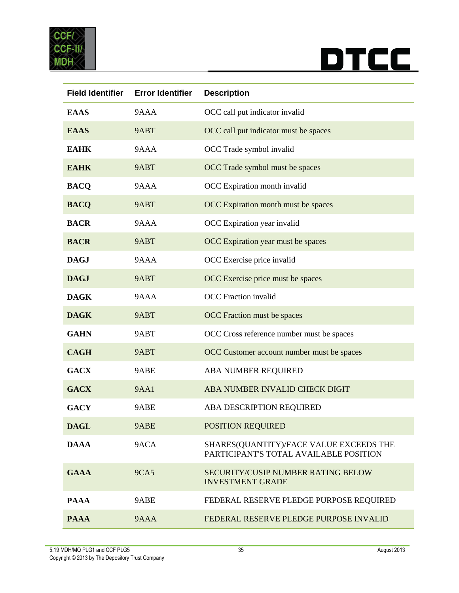



| <b>Field Identifier</b> | <b>Error Identifier</b> | <b>Description</b>                                                                |
|-------------------------|-------------------------|-----------------------------------------------------------------------------------|
| <b>EAAS</b>             | 9AAA                    | OCC call put indicator invalid                                                    |
| <b>EAAS</b>             | 9ABT                    | OCC call put indicator must be spaces                                             |
| <b>EAHK</b>             | 9AAA                    | OCC Trade symbol invalid                                                          |
| <b>EAHK</b>             | 9ABT                    | OCC Trade symbol must be spaces                                                   |
| <b>BACQ</b>             | 9AAA                    | OCC Expiration month invalid                                                      |
| <b>BACQ</b>             | 9ABT                    | OCC Expiration month must be spaces                                               |
| <b>BACR</b>             | 9AAA                    | OCC Expiration year invalid                                                       |
| <b>BACR</b>             | 9ABT                    | OCC Expiration year must be spaces                                                |
| <b>DAGJ</b>             | 9AAA                    | OCC Exercise price invalid                                                        |
| <b>DAGJ</b>             | 9ABT                    | OCC Exercise price must be spaces                                                 |
| <b>DAGK</b>             | 9AAA                    | <b>OCC</b> Fraction invalid                                                       |
| <b>DAGK</b>             | 9ABT                    | OCC Fraction must be spaces                                                       |
| <b>GAHN</b>             | 9ABT                    | OCC Cross reference number must be spaces                                         |
| <b>CAGH</b>             | 9ABT                    | OCC Customer account number must be spaces                                        |
| <b>GACX</b>             | 9ABE                    | ABA NUMBER REQUIRED                                                               |
| <b>GACX</b>             | <b>9AA1</b>             | ABA NUMBER INVALID CHECK DIGIT                                                    |
| <b>GACY</b>             | 9ABE                    | ABA DESCRIPTION REQUIRED                                                          |
| <b>DAGL</b>             | 9ABE                    | POSITION REQUIRED                                                                 |
| <b>DAAA</b>             | 9ACA                    | SHARES(QUANTITY)/FACE VALUE EXCEEDS THE<br>PARTICIPANT'S TOTAL AVAILABLE POSITION |
| <b>GAAA</b>             | <b>9CA5</b>             | SECURITY/CUSIP NUMBER RATING BELOW<br><b>INVESTMENT GRADE</b>                     |
| <b>PAAA</b>             | 9ABE                    | FEDERAL RESERVE PLEDGE PURPOSE REQUIRED                                           |
| <b>PAAA</b>             | 9AAA                    | FEDERAL RESERVE PLEDGE PURPOSE INVALID                                            |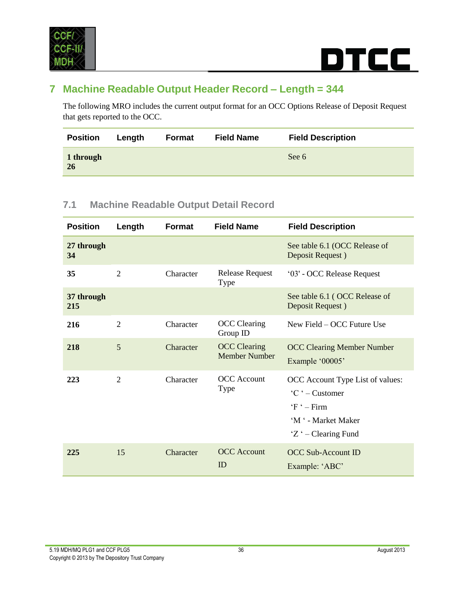

### <span id="page-35-0"></span>**7 Machine Readable Output Header Record – Length = 344**

The following MRO includes the current output format for an OCC Options Release of Deposit Request that gets reported to the OCC.

| <b>Position</b>        | Length | Format | <b>Field Name</b> | <b>Field Description</b> |
|------------------------|--------|--------|-------------------|--------------------------|
| 1 through<br><b>26</b> |        |        |                   | See 6                    |

#### <span id="page-35-1"></span>**7.1 Machine Readable Output Detail Record**

| <b>Position</b>   | Length         | <b>Format</b> | <b>Field Name</b>                           | <b>Field Description</b>                                                                                                                  |
|-------------------|----------------|---------------|---------------------------------------------|-------------------------------------------------------------------------------------------------------------------------------------------|
| 27 through<br>34  |                |               |                                             | See table 6.1 (OCC Release of<br>Deposit Request)                                                                                         |
| 35                | $\overline{2}$ | Character     | <b>Release Request</b><br>Type              | '03' - OCC Release Request                                                                                                                |
| 37 through<br>215 |                |               |                                             | See table 6.1 (OCC Release of<br>Deposit Request)                                                                                         |
| 216               | $\overline{2}$ | Character     | <b>OCC</b> Clearing<br>Group ID             | New Field – OCC Future Use                                                                                                                |
| 218               | 5              | Character     | <b>OCC</b> Clearing<br><b>Member Number</b> | <b>OCC Clearing Member Number</b><br>Example '00005'                                                                                      |
| 223               | $\overline{2}$ | Character     | <b>OCC</b> Account<br><b>Type</b>           | OCC Account Type List of values:<br>${}^{\circ}C$ $\cdot$ - Customer<br>$F - Firm$<br>'M ' - Market Maker<br>$Z^{\prime}$ – Clearing Fund |
| 225               | 15             | Character     | <b>OCC</b> Account<br>ID                    | <b>OCC Sub-Account ID</b><br>Example: 'ABC'                                                                                               |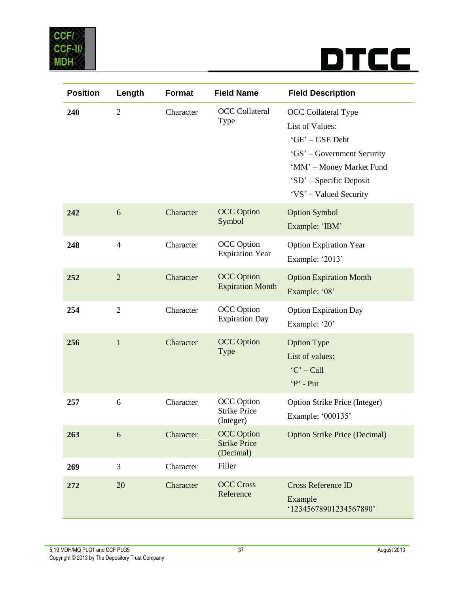

| <b>Position</b> | Length         | <b>Format</b> | <b>Field Name</b>                                     | <b>Field Description</b>                                                                                                                                                 |
|-----------------|----------------|---------------|-------------------------------------------------------|--------------------------------------------------------------------------------------------------------------------------------------------------------------------------|
| 240             | $\overline{2}$ | Character     | <b>OCC</b> Collateral<br>Type                         | OCC Collateral Type<br>List of Values:<br>'GE' - GSE Debt<br>'GS' – Government Security<br>'MM' - Money Market Fund<br>'SD' - Specific Deposit<br>'VS' - Valued Security |
| 242             | 6              | Character     | <b>OCC</b> Option<br>Symbol                           | <b>Option Symbol</b><br>Example: 'IBM'                                                                                                                                   |
| 248             | $\overline{4}$ | Character     | <b>OCC</b> Option<br><b>Expiration Year</b>           | <b>Option Expiration Year</b><br>Example: '2013'                                                                                                                         |
| 252             | $\overline{2}$ | Character     | <b>OCC</b> Option<br><b>Expiration Month</b>          | <b>Option Expiration Month</b><br>Example: '08'                                                                                                                          |
| 254             | $\overline{2}$ | Character     | <b>OCC</b> Option<br><b>Expiration Day</b>            | <b>Option Expiration Day</b><br>Example: '20'                                                                                                                            |
| 256             | $\mathbf{1}$   | Character     | <b>OCC</b> Option<br><b>Type</b>                      | <b>Option Type</b><br>List of values:<br>$^{\circ}$ C' - Call<br>$P'$ - Put                                                                                              |
| 257             | 6              | Character     | <b>OCC</b> Option<br><b>Strike Price</b><br>(Integer) | <b>Option Strike Price (Integer)</b><br>Example: '000135'                                                                                                                |
| 263             | 6              | Character     | <b>OCC</b> Option<br><b>Strike Price</b><br>(Decimal) | <b>Option Strike Price (Decimal)</b>                                                                                                                                     |
| 269             | 3              | Character     | Filler                                                |                                                                                                                                                                          |
| 272             | 20             | Character     | <b>OCC Cross</b><br>Reference                         | <b>Cross Reference ID</b><br>Example<br>'12345678901234567890'                                                                                                           |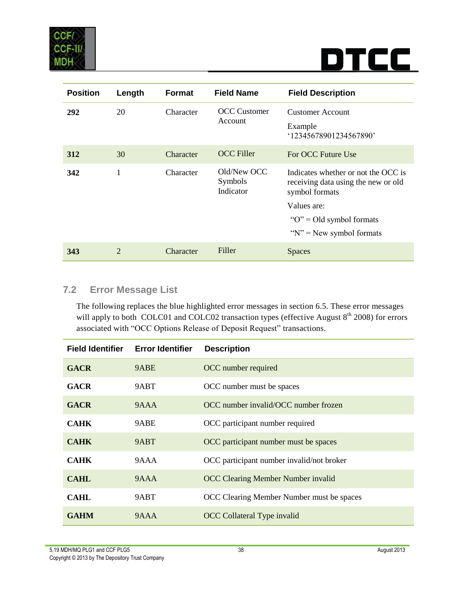

| <b>Position</b> | Length | <b>Format</b> | <b>Field Name</b>                   | <b>Field Description</b>                                                                                                                                                     |
|-----------------|--------|---------------|-------------------------------------|------------------------------------------------------------------------------------------------------------------------------------------------------------------------------|
| 292             | 20     | Character     | <b>OCC</b> Customer<br>Account      | <b>Customer Account</b><br>Example<br>12345678901234567890'                                                                                                                  |
| 312             | 30     | Character     | <b>OCC</b> Filler                   | For OCC Future Use                                                                                                                                                           |
| 342             | 1      | Character     | Old/New OCC<br>Symbols<br>Indicator | Indicates whether or not the OCC is<br>receiving data using the new or old<br>symbol formats<br>Values are:<br>" $O$ " = Old symbol formats"<br>" $N$ " = New symbol formats |
|                 |        |               |                                     |                                                                                                                                                                              |
| 343             | 2      | Character     | Filler                              | <b>Spaces</b>                                                                                                                                                                |

#### <span id="page-37-0"></span>**7.2 Error Message List**

The following replaces the blue highlighted error messages in section 6.5. These error messages will apply to both COLC01 and COLC02 transaction types (effective August  $8<sup>th</sup>$  2008) for errors associated with "OCC Options Release of Deposit Request" transactions.

| <b>Field Identifier</b> | <b>Error Identifier</b> | <b>Description</b>                        |
|-------------------------|-------------------------|-------------------------------------------|
| <b>GACR</b>             | 9ABE                    | OCC number required                       |
| <b>GACR</b>             | 9ABT                    | OCC number must be spaces                 |
| <b>GACR</b>             | 9AAA                    | OCC number invalid/OCC number frozen      |
| <b>CAHK</b>             | 9ABE                    | OCC participant number required           |
| <b>CAHK</b>             | 9ABT                    | OCC participant number must be spaces     |
| <b>CAHK</b>             | 9AAA                    | OCC participant number invalid/not broker |
| CAHL                    | 9AAA                    | <b>OCC Clearing Member Number invalid</b> |
| CAHL                    | 9ABT                    | OCC Clearing Member Number must be spaces |
| <b>GAHM</b>             | 9AAA                    | <b>OCC</b> Collateral Type invalid        |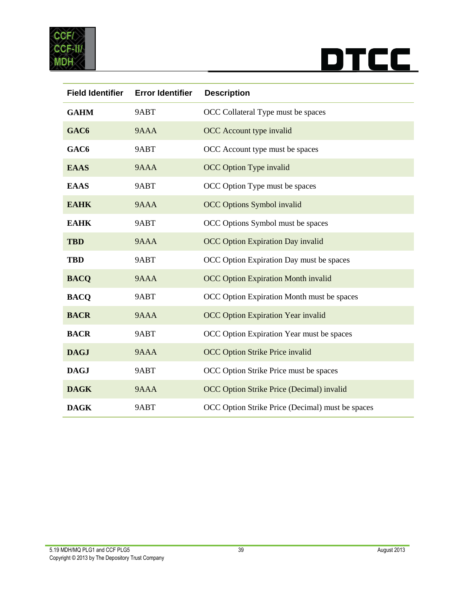



| <b>Field Identifier</b> | <b>Error Identifier</b> | <b>Description</b>                               |
|-------------------------|-------------------------|--------------------------------------------------|
| <b>GAHM</b>             | 9ABT                    | OCC Collateral Type must be spaces               |
| GAC <sub>6</sub>        | 9AAA                    | OCC Account type invalid                         |
| GAC <sub>6</sub>        | 9ABT                    | OCC Account type must be spaces                  |
| <b>EAAS</b>             | 9AAA                    | <b>OCC Option Type invalid</b>                   |
| <b>EAAS</b>             | 9ABT                    | OCC Option Type must be spaces                   |
| <b>EAHK</b>             | 9AAA                    | <b>OCC Options Symbol invalid</b>                |
| <b>EAHK</b>             | 9ABT                    | OCC Options Symbol must be spaces                |
| <b>TBD</b>              | 9AAA                    | <b>OCC Option Expiration Day invalid</b>         |
| <b>TBD</b>              | 9ABT                    | OCC Option Expiration Day must be spaces         |
| <b>BACQ</b>             | 9AAA                    | <b>OCC Option Expiration Month invalid</b>       |
| <b>BACQ</b>             | 9ABT                    | OCC Option Expiration Month must be spaces       |
| <b>BACR</b>             | 9AAA                    | <b>OCC Option Expiration Year invalid</b>        |
| <b>BACR</b>             | 9ABT                    | OCC Option Expiration Year must be spaces        |
| <b>DAGJ</b>             | 9AAA                    | OCC Option Strike Price invalid                  |
| <b>DAGJ</b>             | 9ABT                    | OCC Option Strike Price must be spaces           |
| <b>DAGK</b>             | 9AAA                    | OCC Option Strike Price (Decimal) invalid        |
| <b>DAGK</b>             | 9ABT                    | OCC Option Strike Price (Decimal) must be spaces |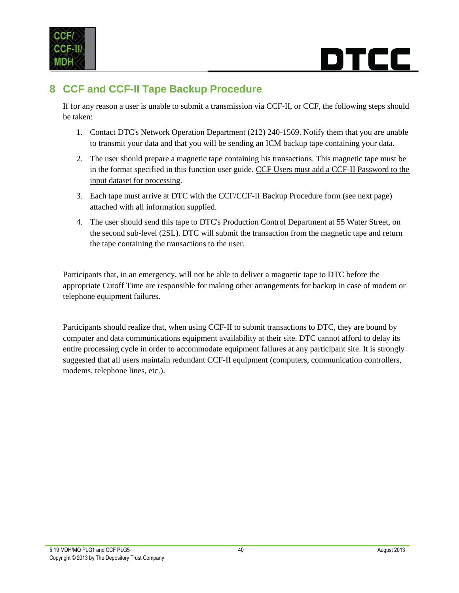

### rcc i

### <span id="page-39-0"></span>**8 CCF and CCF-II Tape Backup Procedure**

If for any reason a user is unable to submit a transmission via CCF-II, or CCF, the following steps should be taken:

- 1. Contact DTC's Network Operation Department (212) 240-1569. Notify them that you are unable to transmit your data and that you will be sending an ICM backup tape containing your data.
- 2. The user should prepare a magnetic tape containing his transactions. This magnetic tape must be in the format specified in this function user guide. CCF Users must add a CCF-II Password to the input dataset for processing.
- 3. Each tape must arrive at DTC with the CCF/CCF-II Backup Procedure form (see next page) attached with all information supplied.
- 4. The user should send this tape to DTC's Production Control Department at 55 Water Street, on the second sub-level (2SL). DTC will submit the transaction from the magnetic tape and return the tape containing the transactions to the user.

Participants that, in an emergency, will not be able to deliver a magnetic tape to DTC before the appropriate Cutoff Time are responsible for making other arrangements for backup in case of modem or telephone equipment failures.

Participants should realize that, when using CCF-II to submit transactions to DTC, they are bound by computer and data communications equipment availability at their site. DTC cannot afford to delay its entire processing cycle in order to accommodate equipment failures at any participant site. It is strongly suggested that all users maintain redundant CCF-II equipment (computers, communication controllers, modems, telephone lines, etc.).